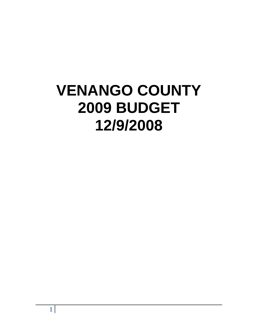# **VENANGO COUNTY 2009 BUDGET 12/9/2008**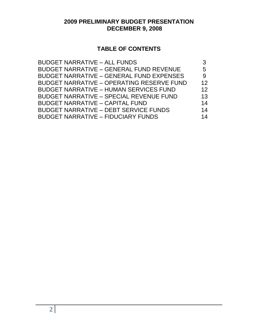# **2009 PRELIMINARY BUDGET PRESENTATION DECEMBER 9, 2008**

# **TABLE OF CONTENTS**

| <b>BUDGET NARRATIVE - ALL FUNDS</b>              |    |
|--------------------------------------------------|----|
| <b>BUDGET NARRATIVE - GENERAL FUND REVENUE</b>   | 5  |
| <b>BUDGET NARRATIVE - GENERAL FUND EXPENSES</b>  | 9  |
| <b>BUDGET NARRATIVE - OPERATING RESERVE FUND</b> | 12 |
| <b>BUDGET NARRATIVE - HUMAN SERVICES FUND</b>    | 12 |
| <b>BUDGET NARRATIVE - SPECIAL REVENUE FUND</b>   | 13 |
| <b>BUDGET NARRATIVE - CAPITAL FUND</b>           | 14 |
| <b>BUDGET NARRATIVE - DEBT SERVICE FUNDS</b>     | 14 |
| <b>BUDGET NARRATIVE - FIDUCIARY FUNDS</b>        | 14 |
|                                                  |    |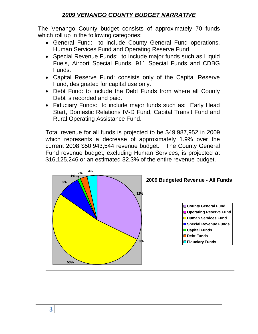# *2009 VENANGO COUNTY BUDGET NARRATIVE*

The Venango County budget consists of approximately 70 funds which roll up in the following categories:

- General Fund: to include County General Fund operations, Human Services Fund and Operating Reserve Fund.
- Special Revenue Funds: to include major funds such as Liquid Fuels, Airport Special Funds, 911 Special Funds and CDBG Funds.
- Capital Reserve Fund: consists only of the Capital Reserve Fund, designated for capital use only.
- Debt Fund: to include the Debt Funds from where all County Debt is recorded and paid.
- Fiduciary Funds: to include major funds such as: Early Head Start, Domestic Relations IV-D Fund, Capital Transit Fund and Rural Operating Assistance Fund.

Total revenue for all funds is projected to be \$49,987,952 in 2009 which represents a decrease of approximately 1.9% over the current 2008 \$50,943,544 revenue budget. The County General Fund revenue budget, excluding Human Services, is projected at \$16,125,246 or an estimated 32.3% of the entire revenue budget.

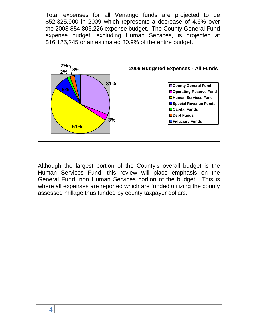Total expenses for all Venango funds are projected to be \$52,325,900 in 2009 which represents a decrease of 4.6% over the 2008 \$54,806,226 expense budget. The County General Fund expense budget, excluding Human Services, is projected at \$16,125,245 or an estimated 30.9% of the entire budget.



Although the largest portion of the County's overall budget is the Human Services Fund, this review will place emphasis on the General Fund, non Human Services portion of the budget. This is where all expenses are reported which are funded utilizing the county assessed millage thus funded by county taxpayer dollars.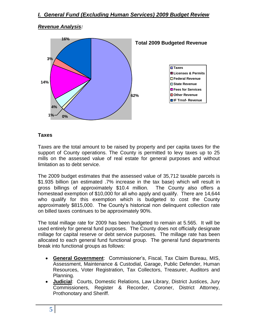#### *Revenue Analysis:*



#### **Taxes**

Taxes are the total amount to be raised by property and per capita taxes for the support of County operations. The County is permitted to levy taxes up to 25 mills on the assessed value of real estate for general purposes and without limitation as to debt service.

The 2009 budget estimates that the assessed value of 35,712 taxable parcels is \$1.935 billion (an estimated .7% increase in the tax base) which will result in gross billings of approximately \$10.4 million. The County also offers a homestead exemption of \$10,000 for all who apply and qualify. There are 14,644 who qualify for this exemption which is budgeted to cost the County approximately \$815,000. The County's historical non delinquent collection rate on billed taxes continues to be approximately 90%.

The total millage rate for 2009 has been budgeted to remain at 5.565. It will be used entirely for general fund purposes. The County does not officially designate millage for capital reserve or debt service purposes. The millage rate has been allocated to each general fund functional group. The general fund departments break into functional groups as follows:

- **General Government**: Commissioner's, Fiscal, Tax Claim Bureau, MIS, Assessment, Maintenance & Custodial, Garage, Public Defender, Human Resources, Voter Registration, Tax Collectors, Treasurer, Auditors and Planning.
- **Judicial**: Courts, Domestic Relations, Law Library, District Justices, Jury Commissioners, Register & Recorder, Coroner, District Attorney, Prothonotary and Sheriff.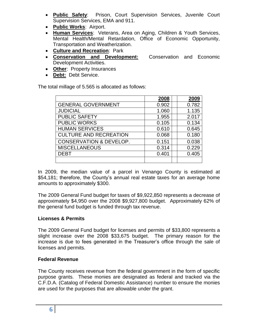- **Public Safety**: Prison, Court Supervision Services, Juvenile Court Supervision Services, EMA and 911.
- **Public Works**: Airport.
- **Human Services**: Veterans, Area on Aging, Children & Youth Services, Mental Health/Mental Retardation, Office of Economic Opportunity, Transportation and Weatherization.
- **Culture and Recreation**: Park
- **Conservation and Development:** Conservation and Economic Development Activities.
- **Other**: Property Insurances
- **Debt:** Debt Service.

The total millage of 5.565 is allocated as follows:

|                                    | 2008  | 2009  |
|------------------------------------|-------|-------|
| <b>GENERAL GOVERNMENT</b>          | 0.902 | 0.782 |
| <b>JUDICIAL</b>                    | 1.060 | 1.135 |
| <b>PUBLIC SAFETY</b>               | 1.955 | 2.017 |
| <b>PUBLIC WORKS</b>                | 0.105 | 0.134 |
| <b>HUMAN SERVICES</b>              | 0.610 | 0.645 |
| <b>CULTURE AND RECREATION</b>      | 0.068 | 0.180 |
| <b>CONSERVATION &amp; DEVELOP.</b> | 0.151 | 0.038 |
| <b>MISCELLANEOUS</b>               | 0.314 | 0.229 |
| <b>DEBT</b>                        | 0.401 | 0.405 |
|                                    |       |       |

In 2009, the median value of a parcel in Venango County is estimated at \$54,181; therefore, the County's annual real estate taxes for an average home amounts to approximately \$300.

The 2009 General Fund budget for taxes of \$9,922,850 represents a decrease of approximately \$4,950 over the 2008 \$9,927,800 budget. Approximately 62% of the general fund budget is funded through tax revenue.

#### **Licenses & Permits**

The 2009 General Fund budget for licenses and permits of \$33,800 represents a slight increase over the 2008 \$33,675 budget. The primary reason for the increase is due to fees generated in the Treasurer's office through the sale of licenses and permits.

#### **Federal Revenue**

The County receives revenue from the federal government in the form of specific purpose grants. These monies are designated as federal and tracked via the C.F.D.A. (Catalog of Federal Domestic Assistance) number to ensure the monies are used for the purposes that are allowable under the grant.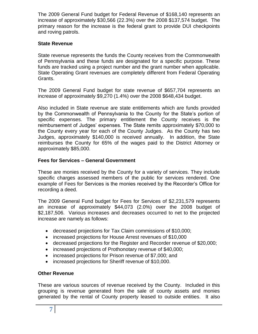The 2009 General Fund budget for Federal Revenue of \$168,140 represents an increase of approximately \$30,566 (22.3%) over the 2008 \$137,574 budget. The primary reason for the increase is the federal grant to provide DUI checkpoints and roving patrols.

#### **State Revenue**

State revenue represents the funds the County receives from the Commonwealth of Pennsylvania and these funds are designated for a specific purpose. These funds are tracked using a project number and the grant number when applicable. State Operating Grant revenues are completely different from Federal Operating Grants.

The 2009 General Fund budget for state revenue of \$657,704 represents an increase of approximately \$9,270 (1.4%) over the 2008 \$648,434 budget.

Also included in State revenue are state entitlements which are funds provided by the Commonwealth of Pennsylvania to the County for the State's portion of specific expenses. The primary entitlement the County receives is the reimbursement of Judges' expenses. The State remits approximately \$70,000 to the County every year for each of the County Judges. As the County has two Judges, approximately \$140,000 is received annually. In addition, the State reimburses the County for 65% of the wages paid to the District Attorney or approximately \$85,000.

#### **Fees for Services – General Government**

These are monies received by the County for a variety of services. They include specific charges assessed members of the public for services rendered. One example of Fees for Services is the monies received by the Recorder's Office for recording a deed.

The 2009 General Fund budget for Fees for Services of \$2,231,579 represents an increase of approximately \$44,073 (2.0%) over the 2008 budget of \$2,187,506. Various increases and decreases occurred to net to the projected increase are namely as follows:

- decreased projections for Tax Claim commissions of \$10,000;
- increased projections for House Arrest revenues of \$10,000
- decreased projections for the Register and Recorder revenue of \$20,000;
- increased projections of Prothonotary revenue of \$40,000;
- increased projections for Prison revenue of \$7,000; and
- increased projections for Sheriff revenue of \$10,000.

#### **Other Revenue**

These are various sources of revenue received by the County. Included in this grouping is revenue generated from the sale of county assets and monies generated by the rental of County property leased to outside entities. It also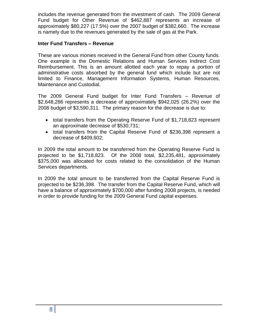includes the revenue generated from the investment of cash. The 2009 General Fund budget for Other Revenue of \$462,887 represents an increase of approximately \$80,227 (17.5%) over the 2007 budget of \$382,660. The increase is namely due to the revenues generated by the sale of gas at the Park.

#### **Inter Fund Transfers – Revenue**

These are various monies received in the General Fund from other County funds. One example is the Domestic Relations and Human Services Indirect Cost Reimbursement. This is an amount allotted each year to repay a portion of administrative costs absorbed by the general fund which include but are not limited to Finance, Management Information Systems, Human Resources, Maintenance and Custodial.

The 2009 General Fund budget for Inter Fund Transfers – Revenue of \$2,648,286 represents a decrease of approximately \$942,025 (26.2%) over the 2008 budget of \$3,590,311. The primary reason for the decrease is due to:

- total transfers from the Operating Reserve Fund of \$1,718,823 represent an approximate decrease of \$530,731;
- total transfers from the Capital Reserve Fund of \$236,398 represent a decrease of \$409,602;

In 2009 the total amount to be transferred from the Operating Reserve Fund is projected to be \$1,718,823. Of the 2008 total, \$2,235,481, approximately \$375,000 was allocated for costs related to the consolidation of the Human Services departments.

In 2009 the total amount to be transferred from the Capital Reserve Fund is projected to be \$236,398. The transfer from the Capital Reserve Fund, which will have a balance of approximately \$700,000 after funding 2008 projects, is needed in order to provide funding for the 2009 General Fund capital expenses.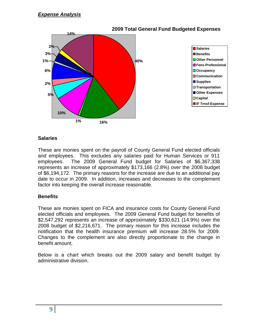

## **Salaries**

These are monies spent on the payroll of County General Fund elected officials and employees. This excludes any salaries paid for Human Services or 911 employees. The 2009 General Fund budget for Salaries of \$6,367,338 represents an increase of approximately \$173,166 (2.8%) over the 2008 budget of \$6,194,172. The primary reasons for the increase are due to an additional pay date to occur in 2009. In addition, increases and decreases to the complement factor into keeping the overall increase reasonable.

#### **Benefits**

These are monies spent on FICA and insurance costs for County General Fund elected officials and employees. The 2009 General Fund budget for benefits of \$2,547,292 represents an increase of approximately \$330,621 (14.9%) over the 2008 budget of \$2,216,671. The primary reason for this increase includes the notification that the health insurance premium will increase 28.5% for 2009. Changes to the complement are also directly proportionate to the change in benefit amount.

Below is a chart which breaks out the 2009 salary and benefit budget by administrative division.

# **9**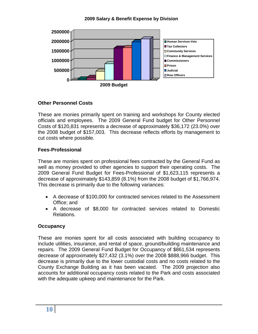#### **2009 Salary & Benefit Expense by Division**



#### **Other Personnel Costs**

These are monies primarily spent on training and workshops for County elected officials and employees. The 2009 General Fund budget for Other Personnel Costs of \$120,831 represents a decrease of approximately \$36,172 (23.0%) over the 2008 budget of \$157,003. This decrease reflects efforts by management to cut costs where possible.

#### **Fees-Professional**

These are monies spent on professional fees contracted by the General Fund as well as money provided to other agencies to support their operating costs. The 2009 General Fund Budget for Fees-Professional of \$1,623,115 represents a decrease of approximately \$143,859 (8.1%) from the 2008 budget of \$1,766,974. This decrease is primarily due to the following variances:

- A decrease of \$100,000 for contracted services related to the Assessment Office; and
- A decrease of \$8,000 for contracted services related to Domestic Relations.

#### **Occupancy**

These are monies spent for all costs associated with building occupancy to include utilities, insurance, and rental of space, ground/building maintenance and repairs. The 2009 General Fund Budget for Occupancy of \$861,534 represents decrease of approximately \$27,432 (3.1%) over the 2008 \$888,966 budget. This decrease is primarily due to the lower custodial costs and no costs related to the County Exchange Building as it has been vacated. The 2009 projection also accounts for additional occupancy costs related to the Park and costs associated with the adequate upkeep and maintenance for the Park.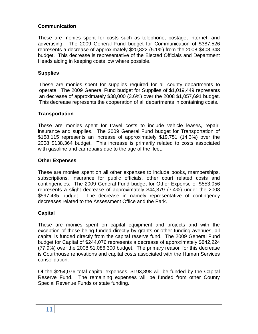## **Communication**

These are monies spent for costs such as telephone, postage, internet, and advertising. The 2009 General Fund budget for Communication of \$387,526 represents a decrease of approximately \$20,822 (5.1%) from the 2008 \$408,348 budget. This decrease is representative of the Elected Officials and Department Heads aiding in keeping costs low where possible.

#### **Supplies**

These are monies spent for supplies required for all county departments to operate. The 2009 General Fund budget for Supplies of \$1,019,449 represents an decrease of approximately \$38,000 (3.6%) over the 2008 \$1,057,691 budget. This decrease represents the cooperation of all departments in containing costs.

#### **Transportation**

These are monies spent for travel costs to include vehicle leases, repair, insurance and supplies. The 2009 General Fund budget for Transportation of \$158,115 represents an increase of approximately \$19,751 (14.3%) over the 2008 \$138,364 budget. This increase is primarily related to costs associated with gasoline and car repairs due to the age of the fleet.

#### **Other Expenses**

These are monies spent on all other expenses to include books, memberships, subscriptions, insurance for public officials, other court related costs and contingencies. The 2009 General Fund budget for Other Expense of \$553,056 represents a slight decrease of approximately \$44,379 (7.4%) under the 2008 \$597,435 budget. The decrease in namely representative of contingency decreases related to the Assessment Office and the Park.

#### **Capital**

These are monies spent on capital equipment and projects and with the exception of those being funded directly by grants or other funding avenues, all capital is funded directly from the capital reserve fund. The 2009 General Fund budget for Capital of \$244,076 represents a decrease of approximately \$842,224 (77.9%) over the 2008 \$1,086,300 budget. The primary reason for this decrease is Courthouse renovations and capital costs associated with the Human Services consolidation.

Of the \$254,076 total capital expenses, \$193,898 will be funded by the Capital Reserve Fund. The remaining expenses will be funded from other County Special Revenue Funds or state funding.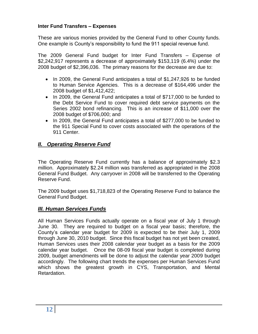## **Inter Fund Transfers – Expenses**

These are various monies provided by the General Fund to other County funds. One example is County's responsibility to fund the 911 special revenue fund.

The 2009 General Fund budget for Inter Fund Transfers – Expense of \$2,242,917 represents a decrease of approximately \$153,119 (6.4%) under the 2008 budget of \$2,396,036. The primary reasons for the decrease are due to:

- In 2009, the General Fund anticipates a total of \$1,247,926 to be funded to Human Service Agencies. This is a decrease of \$164,496 under the 2008 budget of \$1,412,422;
- In 2009, the General Fund anticipates a total of \$717,000 to be funded to the Debt Service Fund to cover required debt service payments on the Series 2002 bond refinancing. This is an increase of \$11,000 over the 2008 budget of \$706,000; and
- In 2009, the General Fund anticipates a total of \$277,000 to be funded to the 911 Special Fund to cover costs associated with the operations of the 911 Center.

# *II. Operating Reserve Fund*

The Operating Reserve Fund currently has a balance of approximately \$2.3 million. Approximately \$2.24 million was transferred as appropriated in the 2008 General Fund Budget. Any carryover in 2008 will be transferred to the Operating Reserve Fund.

The 2009 budget uses \$1,718,823 of the Operating Reserve Fund to balance the General Fund Budget.

#### *III. Human Services Funds*

All Human Services Funds actually operate on a fiscal year of July 1 through June 30. They are required to budget on a fiscal year basis; therefore, the County's calendar year budget for 2009 is expected to be their July 1, 2009 through June 30, 2010 budget. Since this fiscal budget has not yet been created, Human Services uses their 2008 calendar year budget as a basis for the 2009 calendar year budget. Once the 08-09 fiscal year budget is completed during 2009, budget amendments will be done to adjust the calendar year 2009 budget accordingly. The following chart trends the expenses per Human Services Fund which shows the greatest growth in CYS, Transportation, and Mental Retardation.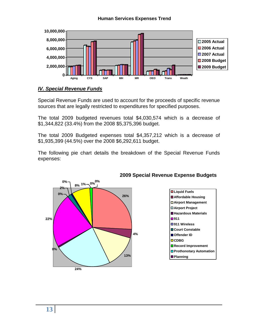#### **Human Services Expenses Trend**



#### *IV. Special Revenue Funds*

Special Revenue Funds are used to account for the proceeds of specific revenue sources that are legally restricted to expenditures for specified purposes.

The total 2009 budgeted revenues total \$4,030,574 which is a decrease of \$1,344,822 (33.4%) from the 2008 \$5,375,396 budget.

The total 2009 Budgeted expenses total \$4,357,212 which is a decrease of \$1,935,399 (44.5%) over the 2008 \$6,292,611 budget.

The following pie chart details the breakdown of the Special Revenue Funds expenses:



#### **2009 Special Revenue Expense Budgets**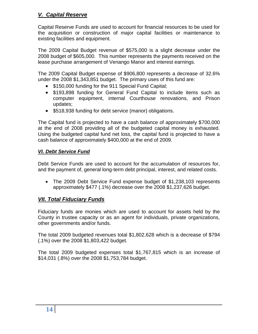# *V. Capital Reserve*

Capital Reserve Funds are used to account for financial resources to be used for the acquisition or construction of major capital facilities or maintenance to existing facilities and equipment.

The 2009 Capital Budget revenue of \$575,000 is a slight decrease under the 2008 budget of \$605,000. This number represents the payments received on the lease purchase arrangement of Venango Manor and interest earnings.

The 2009 Capital Budget expense of \$906,800 represents a decrease of 32.6% under the 2008 \$1,343,851 budget. The primary uses of this fund are:

- \$150,000 funding for the 911 Special Fund Capital;
- \$193,898 funding for General Fund Capital to include items such as computer equipment, internal Courthouse renovations, and Prison updates;
- \$518,938 funding for debt service (manor) obligations.

The Capital fund is projected to have a cash balance of approximately \$700,000 at the end of 2008 providing all of the budgeted capital money is exhausted. Using the budgeted capital fund net loss, the capital fund is projected to have a cash balance of approximately \$400,000 at the end of 2009.

## *VI. Debt Service Fund*

Debt Service Funds are used to account for the accumulation of resources for, and the payment of, general long-term debt principal, interest, and related costs.

 The 2009 Debt Service Fund expense budget of \$1,238,103 represents approximately \$477 (.1%) decrease over the 2008 \$1,237,626 budget.

# *VII. Total Fiduciary Funds*

Fiduciary funds are monies which are used to account for assets held by the County in trustee capacity or as an agent for individuals, private organizations, other governments and/or funds.

The total 2009 budgeted revenues total \$1,802,628 which is a decrease of \$794 (.1%) over the 2008 \$1,803,422 budget.

The total 2009 budgeted expenses total \$1,767,815 which is an increase of \$14,031 (.8%) over the 2008 \$1,753,784 budget.